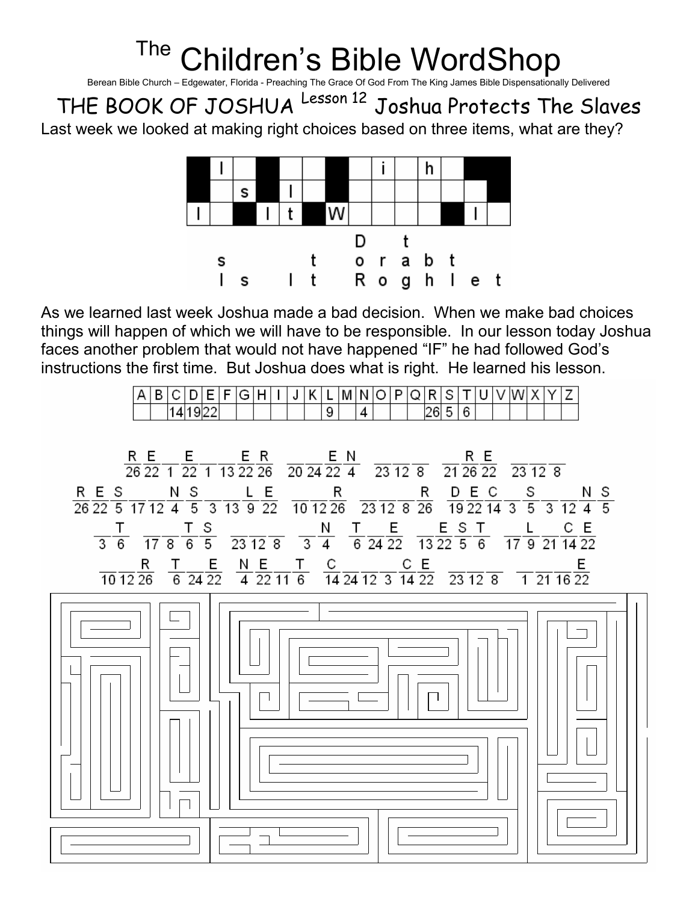## The Children's Bible WordShop

Berean Bible Church – Edgewater, Florida - Preaching The Grace Of God From The King James Bible Dispensationally Delivered

THE BOOK OF JOSHUA Lesson 12 Joshua Protects The Slaves

Last week we looked at making right choices based on three items, what are they?



As we learned last week Joshua made a bad decision. When we make bad choices things will happen of which we will have to be responsible. In our lesson today Joshua faces another problem that would not have happened "IF" he had followed God's instructions the first time. But Joshua does what is right. He learned his lesson.

|  |  |     | - | - | _ |  | . . |                               | ΙVΙ | N |  | - |  |  |  |  |  |
|--|--|-----|---|---|---|--|-----|-------------------------------|-----|---|--|---|--|--|--|--|--|
|  |  | --- |   |   |   |  |     | $\overline{\phantom{a}}$<br>У |     | 4 |  |   |  |  |  |  |  |

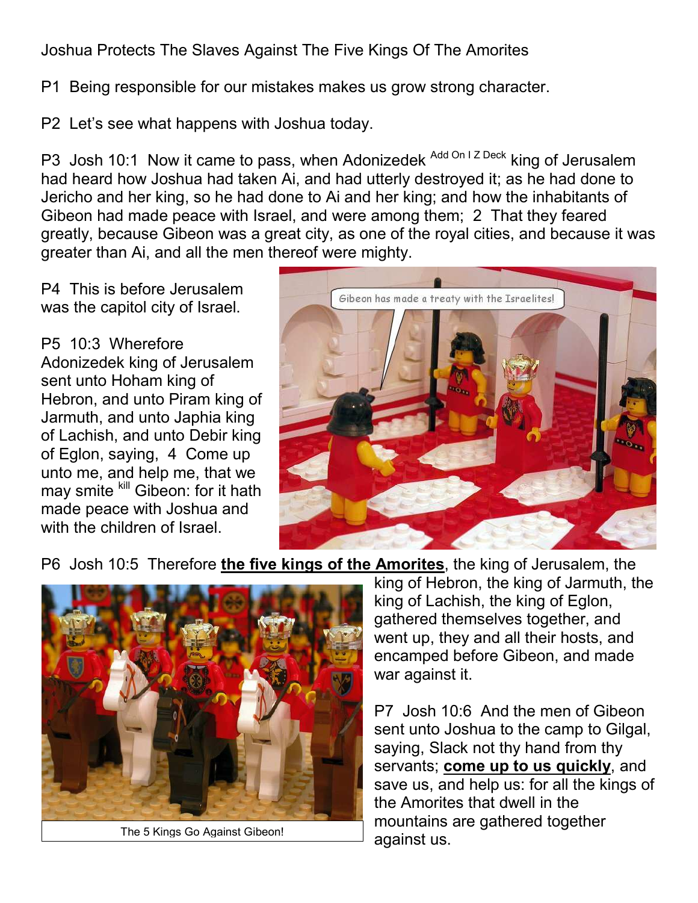Joshua Protects The Slaves Against The Five Kings Of The Amorites

P1 Being responsible for our mistakes makes us grow strong character.

P2 Let's see what happens with Joshua today.

P3 Josh 10:1 Now it came to pass, when Adonizedek Add On I Z Deck king of Jerusalem had heard how Joshua had taken Ai, and had utterly destroyed it; as he had done to Jericho and her king, so he had done to Ai and her king; and how the inhabitants of Gibeon had made peace with Israel, and were among them; 2 That they feared greatly, because Gibeon was a great city, as one of the royal cities, and because it was greater than Ai, and all the men thereof were mighty.

P4 This is before Jerusalem was the capitol city of Israel.

P5 10:3 Wherefore Adonizedek king of Jerusalem sent unto Hoham king of Hebron, and unto Piram king of Jarmuth, and unto Japhia king of Lachish, and unto Debir king of Eglon, saying, 4 Come up unto me, and help me, that we may smite kill Gibeon: for it hath made peace with Joshua and with the children of Israel.



P6 Josh 10:5 Therefore the five kings of the Amorites, the king of Jerusalem, the



The 5 Kings Go Against Gibeon!

king of Hebron, the king of Jarmuth, the king of Lachish, the king of Eglon, gathered themselves together, and went up, they and all their hosts, and encamped before Gibeon, and made war against it.

P7 Josh 10:6 And the men of Gibeon sent unto Joshua to the camp to Gilgal, saying, Slack not thy hand from thy servants; come up to us quickly, and save us, and help us: for all the kings of the Amorites that dwell in the mountains are gathered together against us.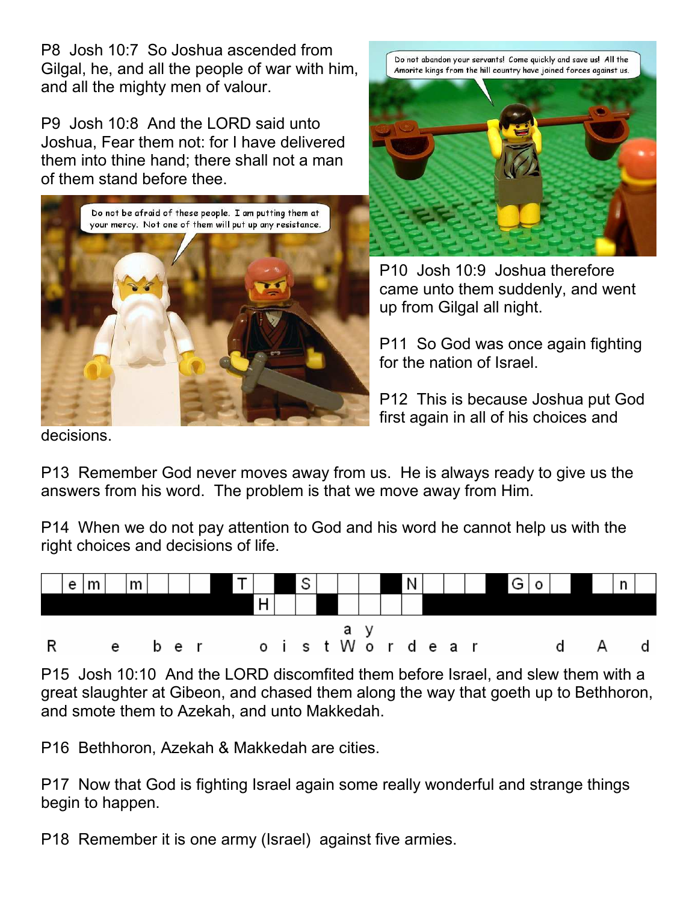P8 Josh 10:7 So Joshua ascended from Gilgal, he, and all the people of war with him, and all the mighty men of valour.

P9 Josh 10:8 And the LORD said unto Joshua, Fear them not: for I have delivered them into thine hand; there shall not a man of them stand before thee.



Do not abandon your servants! Come quickly and save us! All the Amorite kings from the hill country have joined forces against us.



P10 Josh 10:9 Joshua therefore came unto them suddenly, and went up from Gilgal all night.

P11 So God was once again fighting for the nation of Israel.

P12 This is because Joshua put God first again in all of his choices and

decisions.

P13 Remember God never moves away from us. He is always ready to give us the answers from his word. The problem is that we move away from Him.

P14 When we do not pay attention to God and his word he cannot help us with the right choices and decisions of life.



P15 Josh 10:10 And the LORD discomfited them before Israel, and slew them with a great slaughter at Gibeon, and chased them along the way that goeth up to Bethhoron, and smote them to Azekah, and unto Makkedah.

P16 Bethhoron, Azekah & Makkedah are cities.

P17 Now that God is fighting Israel again some really wonderful and strange things begin to happen.

P18 Remember it is one army (Israel) against five armies.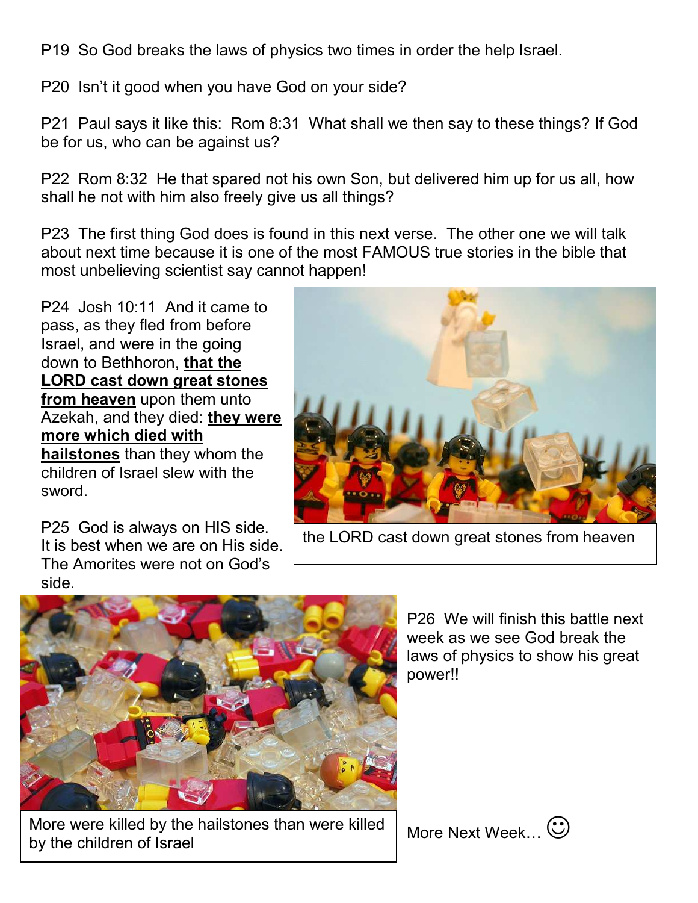P19 So God breaks the laws of physics two times in order the help Israel.

P20 Isn't it good when you have God on your side?

P21 Paul says it like this: Rom 8:31 What shall we then say to these things? If God be for us, who can be against us?

P22 Rom 8:32 He that spared not his own Son, but delivered him up for us all, how shall he not with him also freely give us all things?

P23 The first thing God does is found in this next verse. The other one we will talk about next time because it is one of the most FAMOUS true stories in the bible that most unbelieving scientist say cannot happen!

P24 Josh 10:11 And it came to pass, as they fled from before Israel, and were in the going down to Bethhoron, that the LORD cast down great stones from heaven upon them unto Azekah, and they died: they were more which died with hailstones than they whom the children of Israel slew with the sword.

P25 God is always on HIS side. It is best when we are on His side. The Amorites were not on God's side.



the LORD cast down great stones from heaven



More were killed by the hailstones than were killed by the children of Israel

P26 We will finish this battle next week as we see God break the laws of physics to show his great power!!

More Next Week...  $\odot$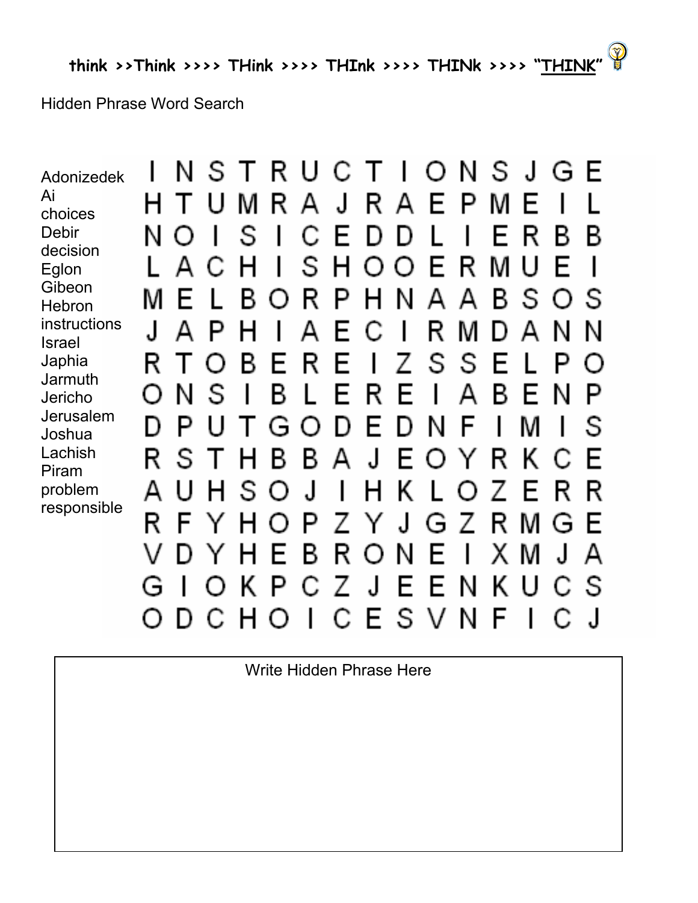**Hidden Phrase Word Search** 

NSTRUCTIONSJGE  $\mathbf{I}$ Adonizedek Ai  $\mathbf{J}$ M R  $\mathbf{A}$ R. E P F Н Τ U M  $\mathbf{A}$ choices **Debir** S E N C D D F R B B  $\mathbf l$  $\mathbf{I}$  $\cap$ decision S  $\mathsf{H}$ E Μ F R  $\mathsf{U}$ Д O Н  $\mathbf{I}$  $\bigcirc$ C. Eglon Gibeon S B R P Н N  $\mathsf{A}$  $\mathbf{A}$ B. S F  $\Omega$ M ( ) **Hebron** instructions  $\mathbf{J}$ Д Д R F С  $\mathbf{I}$ M  $\mathbf{A}$ N N **Israel** S Japhia B. R F S F F P R  $\mathsf I$ 7  $\mathbf{I}$  $\left( \begin{array}{c} \end{array} \right)$ ( ) **Jarmuth** B N S F R F  $\mathbf{I}$ Д B N P F  $\left( \right)$  $\mathsf{l}$ Jericho Jerusalem P M S D G F N E ן ו וו  $\left( \begin{array}{c} \end{array} \right)$ Joshua Lachish  $\mathsf{A}$ J R B. B F F S R К  $\cap$ C  $\mathbf{I}$ Y Piram J  $\mathsf{H}$ problem  $\mathbf{A}$  $\cup$ S  $\mathsf{l}$ К R R  $\mathsf{H}$ F  $\cap$ Γ ( ) responsible  $\overline{\mathcal{A}}$ R. F Р Ζ F G 7 R M G Y R  $\vee$ D F B  $\bigcirc$ N Е  $\mathbf{I}$ X M  $\mathbf{J}$ А Y. Z. J N K C S  $\bigcirc$ K Р E E U G C  $\bigcap$ ESV C  $\mathsf{F}$ DС  $H$  $\bigcirc$ N ال  $\bigcirc$  $\mathbf{I}$ C

Write Hidden Phrase Here